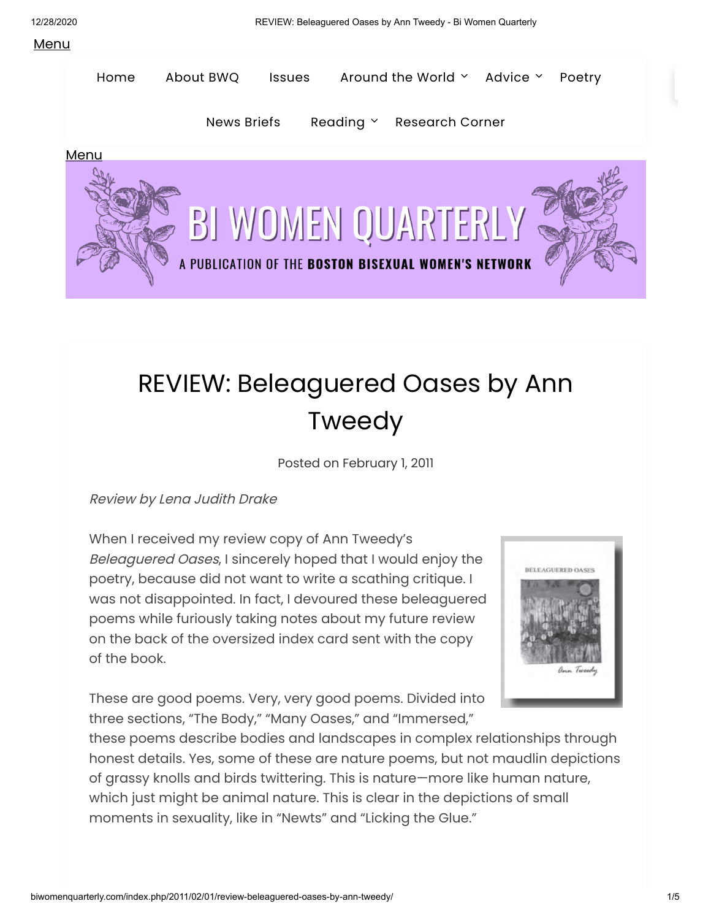## **Menu**



## REVIEW: Beleaguered Oases by Ann Tweedy

Posted on [February](http://biwomenquarterly.com/index.php/2011/02/01/review-beleaguered-oases-by-ann-tweedy/) 1, 2011

Review by Lena Judith Drake

When I received my review copy of Ann Tweedy's Beleaguered Oases, I sincerely hoped that I would enjoy the poetry, because did not want to write a scathing critique. I was not disappointed. In fact, I devoured these beleaguered poems while furiously taking notes about my future review on the back of the oversized index card sent with the copy of the book.



These are good poems. Very, very good poems. Divided into three sections, "The Body," "Many Oases," and "Immersed,"

these poems describe bodies and landscapes in complex relationships through honest details. Yes, some of these are nature poems, but not maudlin depictions of grassy knolls and birds twittering. This is nature—more like human nature, which just might be animal nature. This is clear in the depictions of small moments in sexuality, like in "Newts" and "Licking the Glue."